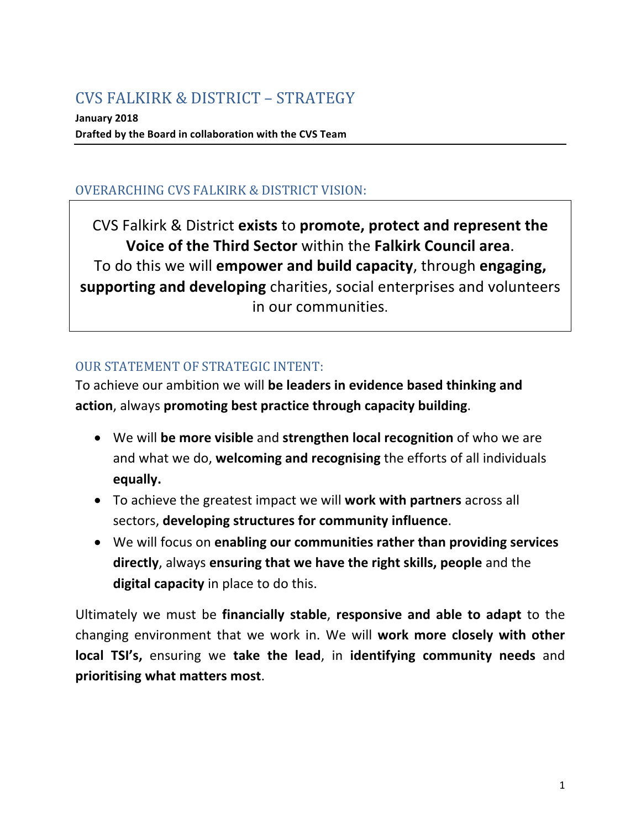# CVS FALKIRK & DISTRICT – STRATEGY

**January 2018** Drafted by the Board in collaboration with the CVS Team

## OVERARCHING CVS FALKIRK & DISTRICT VISION:

CVS Falkirk & District **exists** to **promote, protect and represent the Voice of the Third Sector** within the Falkirk Council area. To do this we will **empower and build capacity**, through **engaging, supporting and developing** charities, social enterprises and volunteers in our communities.

### **OUR STATEMENT OF STRATEGIC INTENT:**

To achieve our ambition we will be leaders in evidence based thinking and **action**, always promoting best practice through capacity building.

- We will be more visible and strengthen local recognition of who we are and what we do, welcoming and recognising the efforts of all individuals **equally.**
- To achieve the greatest impact we will **work with partners** across all sectors, developing structures for community influence.
- We will focus on enabling our communities rather than providing services **directly**, always ensuring that we have the right skills, people and the **digital capacity** in place to do this.

Ultimately we must be **financially stable**, **responsive and able to adapt** to the changing environment that we work in. We will **work more closely with other local TSI's,** ensuring we take the lead, in identifying community needs and **prioritising what matters most**.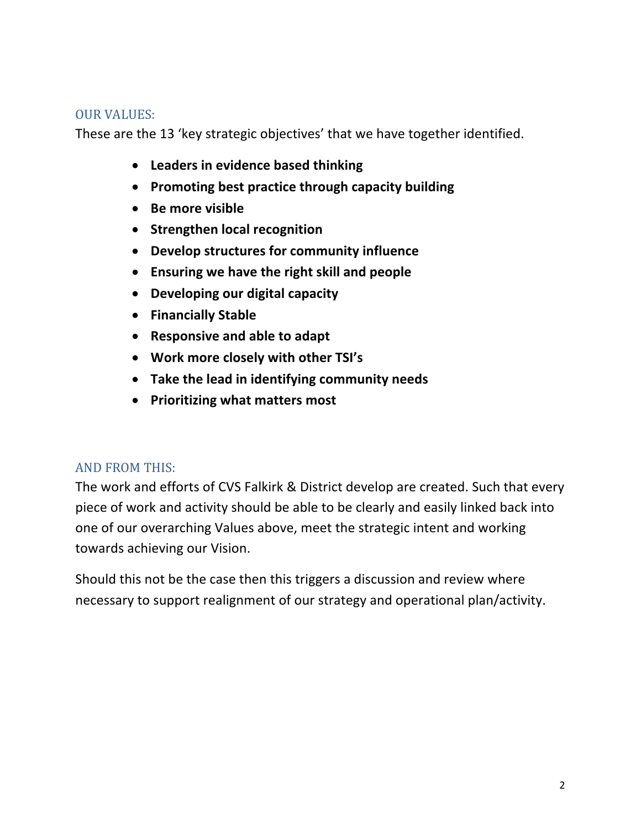#### **OUR VALUES:**

These are the 13 'key strategic objectives' that we have together identified.

- **•** Leaders in evidence based thinking
- Promoting best practice through capacity building
- Be more visible
- **Strengthen local recognition**
- **Develop structures for community influence**
- **•** Ensuring we have the right skill and people
- **Developing our digital capacity**
- **Financially Stable**
- Responsive and able to adapt
- **Work more closely with other TSI's**
- Take the lead in identifying community needs
- **•** Prioritizing what matters most

## **AND FROM THIS:**

The work and efforts of CVS Falkirk & District develop are created. Such that every piece of work and activity should be able to be clearly and easily linked back into one of our overarching Values above, meet the strategic intent and working towards achieving our Vision.

Should this not be the case then this triggers a discussion and review where necessary to support realignment of our strategy and operational plan/activity.